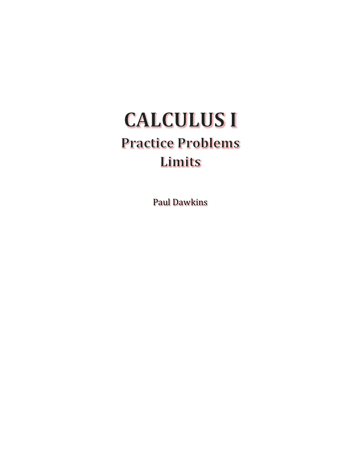# **CALCULUS I**

## **Practice Problems** Limits

Paul Dawkins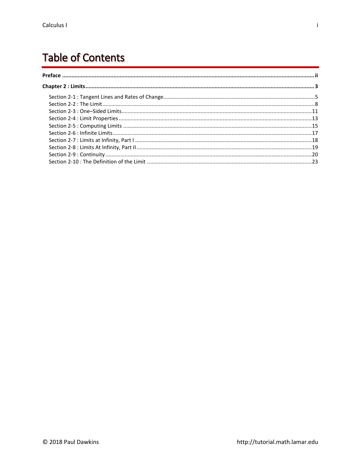## **Table of Contents**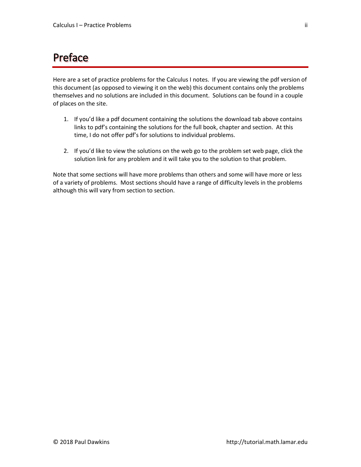## Preface

Here are a set of practice problems for the Calculus I notes. If you are viewing the pdf version of this document (as opposed to viewing it on the web) this document contains only the problems themselves and no solutions are included in this document. Solutions can be found in a couple of places on the site.

- 1. If you'd like a pdf document containing the solutions the download tab above contains links to pdf's containing the solutions for the full book, chapter and section. At this time, I do not offer pdf's for solutions to individual problems.
- 2. If you'd like to view the solutions on the web go to the problem set web page, click the solution link for any problem and it will take you to the solution to that problem.

Note that some sections will have more problems than others and some will have more or less of a variety of problems. Most sections should have a range of difficulty levels in the problems although this will vary from section to section.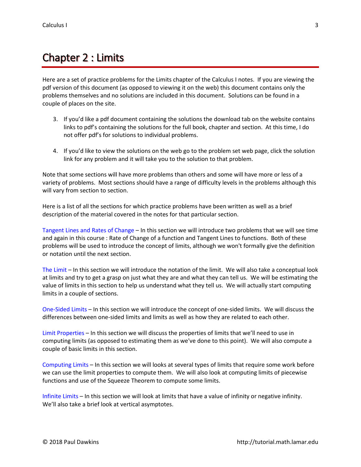## Chapter 2 : Limits

Here are a set of practice problems for the Limits chapter of the Calculus I notes. If you are viewing the pdf version of this document (as opposed to viewing it on the web) this document contains only the problems themselves and no solutions are included in this document. Solutions can be found in a couple of places on the site.

- 3. If you'd like a pdf document containing the solutions the download tab on the website contains links to pdf's containing the solutions for the full book, chapter and section. At this time, I do not offer pdf's for solutions to individual problems.
- 4. If you'd like to view the solutions on the web go to the problem set web page, click the solution link for any problem and it will take you to the solution to that problem.

Note that some sections will have more problems than others and some will have more or less of a variety of problems. Most sections should have a range of difficulty levels in the problems although this will vary from section to section.

Here is a list of all the sections for which practice problems have been written as well as a brief description of the material covered in the notes for that particular section.

Tangent Lines and Rates of Change – In this section we will introduce two problems that we will see time and again in this course : Rate of Change of a function and Tangent Lines to functions. Both of these problems will be used to introduce the concept of limits, although we won't formally give the definition or notation until the next section.

The Limit – In this section we will introduce the notation of the limit. We will also take a conceptual look at limits and try to get a grasp on just what they are and what they can tell us. We will be estimating the value of limits in this section to help us understand what they tell us. We will actually start computing limits in a couple of sections.

One-Sided Limits – In this section we will introduce the concept of one-sided limits. We will discuss the differences between one-sided limits and limits as well as how they are related to each other.

Limit Properties – In this section we will discuss the properties of limits that we'll need to use in computing limits (as opposed to estimating them as we've done to this point). We will also compute a couple of basic limits in this section.

Computing Limits – In this section we will looks at several types of limits that require some work before we can use the limit properties to compute them. We will also look at computing limits of piecewise functions and use of the Squeeze Theorem to compute some limits.

Infinite Limits – In this section we will look at limits that have a value of infinity or negative infinity. We'll also take a brief look at vertical asymptotes.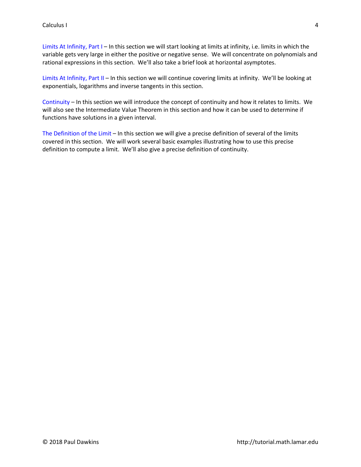Limits At Infinity, Part I – In this section we will start looking at limits at infinity, i.e. limits in which the variable gets very large in either the positive or negative sense. We will concentrate on polynomials and rational expressions in this section. We'll also take a brief look at horizontal asymptotes.

Limits At Infinity, Part II – In this section we will continue covering limits at infinity. We'll be looking at exponentials, logarithms and inverse tangents in this section.

Continuity – In this section we will introduce the concept of continuity and how it relates to limits. We will also see the Intermediate Value Theorem in this section and how it can be used to determine if functions have solutions in a given interval.

The Definition of the Limit – In this section we will give a precise definition of several of the limits covered in this section. We will work several basic examples illustrating how to use this precise definition to compute a limit. We'll also give a precise definition of continuity.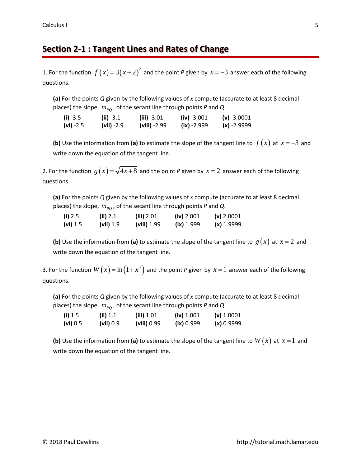#### **Section 2-1 : Tangent Lines and Rates of Change**

1. For the function  $f (x) = 3(x + 2)^2$  and the point *P* given by  $x = -3$  answer each of the following questions.

**(a)** For the points *Q* given by the following values of *x* compute (accurate to at least 8 decimal places) the slope,  $m_{pQ}$ , of the secant line through points *P* and *Q*.

| $(i) -3.5$  | $(ii) -3.1$  | $(iii) -3.01$  | $(iv) -3.001$ | $(v)$ -3.0001 |
|-------------|--------------|----------------|---------------|---------------|
| (vi) $-2.5$ | (vii) $-2.9$ | $(viii) -2.99$ | $(ix) -2.999$ | $(x) -2.9999$ |

**(b)** Use the information from **(a)** to estimate the slope of the tangent line to  $f(x)$  at  $x = -3$  and write down the equation of the tangent line.

2. For the function  $g(x) = \sqrt{4x+8}$  and the point *P* given by  $x = 2$  answer each of the following questions.

**(a)** For the points *Q* given by the following values of *x* compute (accurate to at least 8 decimal places) the slope,  $m_{pQ}$ , of the secant line through points *P* and *Q*.

| (i) 2.5    | (ii) 2.1    | (iii) 2.01  | (iv) 2.001   | $(v)$ 2.0001 |
|------------|-------------|-------------|--------------|--------------|
| (vi) $1.5$ | (vii) $1.9$ | (viii) 1.99 | $(ix)$ 1.999 | $(x)$ 1.9999 |

**(b)** Use the information from **(a)** to estimate the slope of the tangent line to  $g(x)$  at  $x = 2$  and write down the equation of the tangent line.

3. For the function  $W(x) = \ln (1 + x^4)$  and the point *P* given by  $x = 1$  answer each of the following questions.

**(a)** For the points *Q* given by the following values of *x* compute (accurate to at least 8 decimal places) the slope,  $m_{pQ}$ , of the secant line through points  $P$  and  $Q$ .

| (i) 1.5  | (ii) 1.1    | (iii) 1.01  | (iv) 1.001 | $(v)$ 1.0001 |
|----------|-------------|-------------|------------|--------------|
| (vi) 0.5 | (vii) $0.9$ | (viii) 0.99 | (ix) 0.999 | (x) 0.9999   |

**(b)** Use the information from **(a)** to estimate the slope of the tangent line to  $W(x)$  at  $x = 1$  and write down the equation of the tangent line.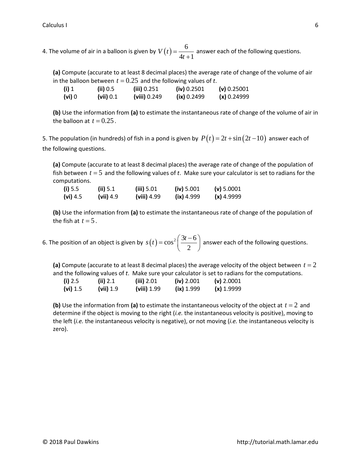4. The volume of air in a balloon is given by  $V(t) = \frac{6}{4\pi}$  $4t + 1$  $V(t) = \frac{0}{4t+1}$  answer each of the following questions.

**(a)** Compute (accurate to at least 8 decimal places) the average rate of change of the volume of air in the balloon between  $t = 0.25$  and the following values of  $t$ .

| $(i)$ 1  | (ii) $0.5$  | (iii) 0.251    | (iv) 0.2501 | $(v)$ 0.25001 |
|----------|-------------|----------------|-------------|---------------|
| $(vi)$ 0 | $(vii)$ 0.1 | (viii) $0.249$ | (ix) 0.2499 | $(x)$ 0.24999 |

**(b)** Use the information from **(a)** to estimate the instantaneous rate of change of the volume of air in the balloon at  $t = 0.25$ .

5. The population (in hundreds) of fish in a pond is given by  $P(t) = 2t + \sin (2t - 10)$  answer each of the following questions.

**(a)** Compute (accurate to at least 8 decimal places) the average rate of change of the population of fish between *t* = 5 and the following values of *t*. Make sure your calculator is set to radians for the computations.

| (i) 5.5    | (ii) 5.1    | (iii) 5.01  | (iv) 5.001   | (v) 5.0001   |
|------------|-------------|-------------|--------------|--------------|
| (vi) $4.5$ | (vii) $4.9$ | (viii) 4.99 | $(ix)$ 4.999 | $(x)$ 4.9999 |

**(b)** Use the information from **(a)** to estimate the instantaneous rate of change of the population of the fish at  $t = 5$ .

6. The position of an object is given by  $s(t) = \cos^2\left(\frac{3t-6}{2}\right)$ 2  $s(t) = \cos^2\left(\frac{3t-6}{2}\right)$  answer each of the following questions.

**(a)** Compute (accurate to at least 8 decimal places) the average velocity of the object between *t* = 2 and the following values of *t*. Make sure your calculator is set to radians for the computations.

| (i) 2.5  | (ii) 2.1    | (iii) 2.01  | (iv) 2.001   | $(v)$ 2.0001 |
|----------|-------------|-------------|--------------|--------------|
| (vi) 1.5 | $(vii)$ 1.9 | (viii) 1.99 | $(ix)$ 1.999 | $(x)$ 1.9999 |

**(b)** Use the information from **(a)** to estimate the instantaneous velocity of the object at *t* = 2 and determine if the object is moving to the right (*i.e.* the instantaneous velocity is positive), moving to the left (*i.e.* the instantaneous velocity is negative), or not moving (*i.e.* the instantaneous velocity is zero).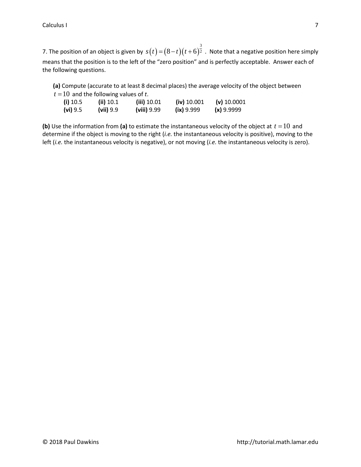7. The position of an object is given by  $s(t)$  =  $( 8-t)( t+6)$  $s(t)$  =  $(8-t)(t+6)^{\frac{3}{2}}$  . Note that a negative position here simply means that the position is to the left of the "zero position" and is perfectly acceptable. Answer each of the following questions.

**(a)** Compute (accurate to at least 8 decimal places) the average velocity of the object between

| $t = 10$ and the following values of t. |             |               |               |               |
|-----------------------------------------|-------------|---------------|---------------|---------------|
| $(i)$ 10.5                              | (ii) $10.1$ | $(iii)$ 10.01 | $(iv)$ 10.001 | (v) $10.0001$ |
| $(vi)$ 9.5                              | (vii) $9.9$ | (viii) 9.99   | $(ix)$ 9.999  | $(x)$ 9.9999  |

**(b)** Use the information from **(a)** to estimate the instantaneous velocity of the object at  $t = 10$  and determine if the object is moving to the right (*i.e.* the instantaneous velocity is positive), moving to the left (*i.e.* the instantaneous velocity is negative), or not moving (*i.e.* the instantaneous velocity is zero).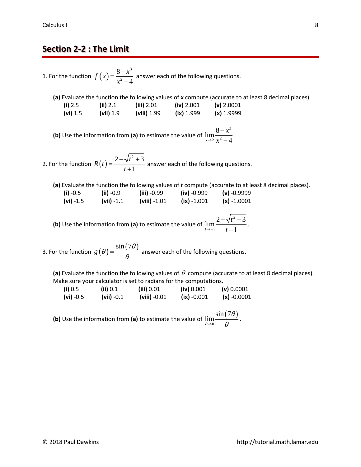#### **Section 2-2 : The Limit**

1. For the function  $\,f\, (x)\,$ 3 2 8 4  $f(x) = \frac{8-x}{x}$  $=\frac{8-x^3}{x^2-4}$  answer each of the following questions. **(a)** Evaluate the function the following values of *x* compute (accurate to at least 8 decimal places). **(i)** 2.5 **(ii)** 2.1 **(iii)** 2.01 **(iv)** 2.001 **(v)** 2.0001 **(vi)** 1.5 **(vii)** 1.9 **(viii)** 1.99 **(ix)** 1.999 **(x)** 1.9999 **(b)** Use the information from **(a)** to estimate the value of 3  $\lim_{x\to 2} \frac{8-x^3}{x^2-4}$  $\rightarrow$ <sup>2</sup>  $\chi$ −  $\frac{1}{-4}$ . 2. For the function  $R(t) = \frac{2 - \sqrt{t^2 + 3}}{1}$ 1  $R(t) = \frac{2 - \sqrt{t}}{t}$  $=\frac{2-\sqrt{t^2+1}}{t+1}$ answer each of the following questions. **(a)** Evaluate the function the following values of *t* compute (accurate to at least 8 decimal places). **(i)** -0.5 **(ii)** -0.9 **(iii)** -0.99 **(iv)** -0.999 **(v)** -0.9999 **(vi)** -1.5 **(vii)** -1.1 **(viii)** -1.01 **(ix)** -1.001 **(x)** -1.0001 **(b)** Use the information from **(a)** to estimate the value of 2  $\lim_{t\to -1} \frac{2-\sqrt{t^2+3}}{t+1}$  $\rightarrow$ <sup>-1</sup> *t*  $-\sqrt{t^2} +$  $\frac{1}{+1}$ . 3. For the function  $g\left( \theta \right){=}\frac{\sin \left( 7\theta \right) }{\theta }$  answer each of the following questions.

**(a)** Evaluate the function the following values of  $\theta$  compute (accurate to at least 8 decimal places). Make sure your calculator is set to radians for the computations.

| (i) 0.5     | (ii) 0.1     | (iii) 0.01     | (iv) 0.001    | $(v)$ 0.0001  |
|-------------|--------------|----------------|---------------|---------------|
| (vi) $-0.5$ | (vii) $-0.1$ | (viii) $-0.01$ | $(ix) -0.001$ | $(x) -0.0001$ |

**(b)** Use the information from **(a)** to estimate the value of  $\lim_{\theta\to 0} \frac{\sin(7\theta)}{\theta}$  $\sin(7)$ lim θ θ  $\lim_{\rightarrow 0} \frac{\left( \frac{\theta}{\theta} \right)}{\theta}$ .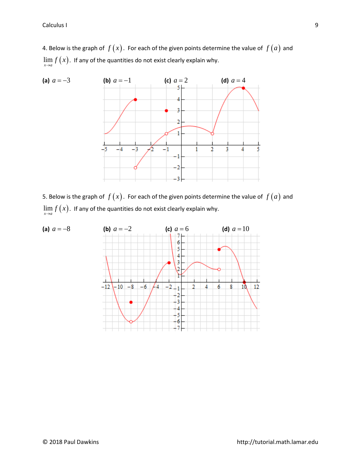4. Below is the graph of  $f(x)$ . For each of the given points determine the value of  $f(a)$  and  $\lim\limits_{x\to a}f\left( x\right)$ . If any of the quantities do not exist clearly explain why.



5. Below is the graph of  $f(x)$ . For each of the given points determine the value of  $f(a)$  and  $\lim\limits_{x\rightarrow a}f\left( x\right) .$  If any of the quantities do not exist clearly explain why.

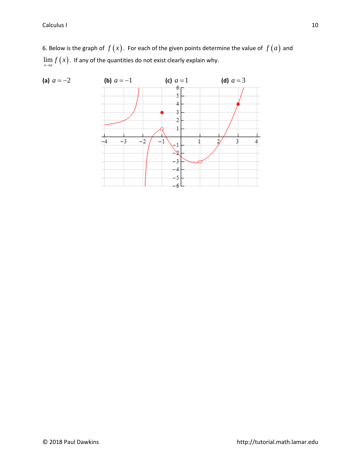6. Below is the graph of  $f(x)$ . For each of the given points determine the value of  $f(a)$  and  $\lim\limits_{x\to a}f\left( x\right)$ . If any of the quantities do not exist clearly explain why.

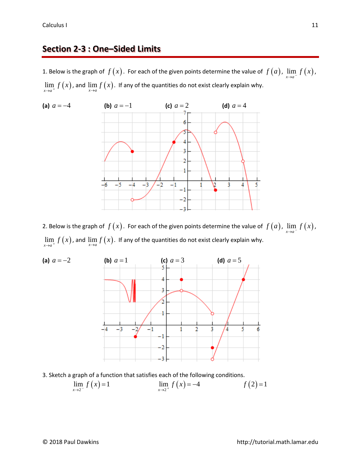#### **Section 2-3 : One–Sided Limits**

1. Below is the graph of  $f(x)$  . For each of the given points determine the value of  $f(a)$  ,  $\lim\limits_{x\to a^-}f(x)$  ,  $\lim\limits_{x\to a^+}f\left(x\right)$  , and  $\lim\limits_{x\to a}f\left(x\right)$ . If any of the quantities do not exist clearly explain why.



2. Below is the graph of  $f(x)$ . For each of the given points determine the value of  $f(a)$ ,  $\lim\limits_{x\to a^-}f(x)$ ,  $\lim\limits_{x\to a^+}f\big(x\big)$  , and  $\lim\limits_{x\to a}f\big(x\big)$  . If any of the quantities do not exist clearly explain why.



3. Sketch a graph of a function that satisfies each of the following conditions.

$$
\lim_{x \to 2^{-}} f(x) = 1 \qquad \qquad \lim_{x \to 2^{+}} f(x) = -4 \qquad \qquad f(2) = 1
$$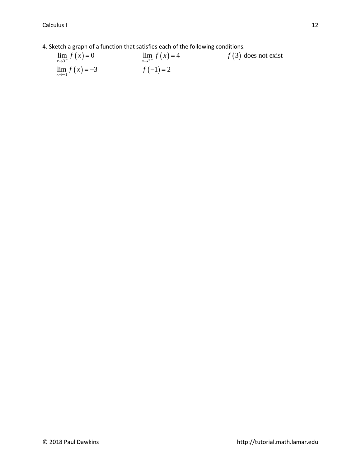| $\lim_{x\to 3^{-}} f(x) = 0$ | $\lim_{x \to 3^+} f(x) = 4$ | $f(3)$ does not exist |
|------------------------------|-----------------------------|-----------------------|
| $\lim_{x \to -1} f(x) = -3$  | $f(-1)=2$                   |                       |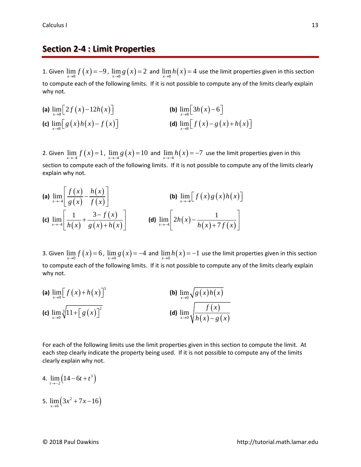#### **Section 2-4 : Limit Properties**

1. Given  $\lim_{x\to 8} f(x) = -9$ ,  $\lim_{x\to 8} g(x) = 2$  and  $\lim_{x\to 8} h(x) = 4$  use the limit properties given in this section to compute each of the following limits. If it is not possible to compute any of the limits clearly explain why not.

(a) 
$$
\lim_{x\to 8} \left[ 2f(x) - 12h(x) \right]
$$
  
\n(b) 
$$
\lim_{x\to 8} \left[ 3h(x) - 6 \right]
$$
  
\n(c) 
$$
\lim_{x\to 8} \left[ g(x)h(x) - f(x) \right]
$$
  
\n(d) 
$$
\lim_{x\to 8} \left[ f(x) - g(x) + h(x) \right]
$$

2. Given  $\lim_{x\to -4} f(x) = 1$ ,  $\lim_{x\to -4} g(x) = 10$  and  $\lim_{x\to -4} h(x) = -7$  use the limit properties given in this section to compute each of the following limits. If it is not possible to compute any of the limits clearly explain why not.

(a) 
$$
\lim_{x \to -4} \left[ \frac{f(x)}{g(x)} - \frac{h(x)}{f(x)} \right]
$$
  
\n(b) 
$$
\lim_{x \to -4} \left[ f(x)g(x)h(x) \right]
$$
  
\n(c) 
$$
\lim_{x \to -4} \left[ \frac{1}{h(x)} + \frac{3 - f(x)}{g(x) + h(x)} \right]
$$
  
\n(d) 
$$
\lim_{x \to -4} \left[ 2h(x) - \frac{1}{h(x) + 7f(x)} \right]
$$

3. Given  $\lim_{x\to 0} f(x) = 6$ ,  $\lim_{x\to 0} g(x) = -4$  and  $\lim_{x\to 0} h(x) = -1$  use the limit properties given in this section to compute each of the following limits. If it is not possible to compute any of the limits clearly explain why not.

(a) 
$$
\lim_{x \to 0} [f(x) + h(x)]^3
$$
  
\n(b)  $\lim_{x \to 0} \sqrt{g(x)h(x)}$   
\n(c)  $\lim_{x \to 0} \sqrt[3]{11 + [g(x)]^2}$   
\n(d)  $\lim_{x \to 0} \sqrt{\frac{f(x)}{h(x) - g(x)}}$ 

For each of the following limits use the limit properties given in this section to compute the limit. At each step clearly indicate the property being used. If it is not possible to compute any of the limits clearly explain why not.

4.  $\lim_{t\to -2} (14-6t+t^3)$ 5.  $\lim_{x\to 6} (3x^2 + 7x - 16)$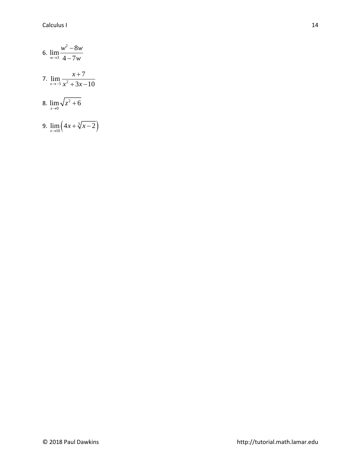6. 
$$
\lim_{w \to 3} \frac{w^2 - 8w}{4 - 7w}
$$
  
7. 
$$
\lim_{x \to -5} \frac{x + 7}{x^2 + 3x - 10}
$$
  
8. 
$$
\lim_{z \to 0} \sqrt{z^2 + 6}
$$

9.  $\lim_{x\to 10} (4x + \sqrt[3]{x} - 2)$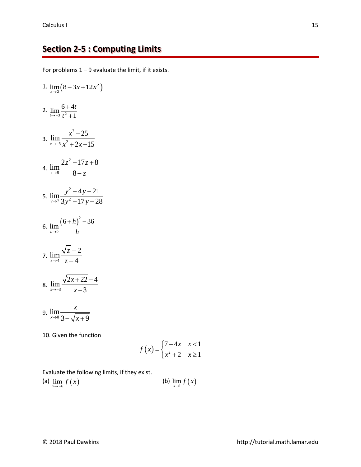#### **Section 2-5 : Computing Limits**

For problems  $1 - 9$  evaluate the limit, if it exists.

1. 
$$
\lim_{x \to 2} (8 - 3x + 12x^{2})
$$
  
\n2. 
$$
\lim_{t \to -3} \frac{6 + 4t}{t^{2} + 1}
$$
  
\n3. 
$$
\lim_{x \to -5} \frac{x^{2} - 25}{x^{2} + 2x - 15}
$$
  
\n4. 
$$
\lim_{z \to 8} \frac{2z^{2} - 17z + 8}{8 - z}
$$
  
\n5. 
$$
\lim_{y \to 7} \frac{y^{2} - 4y - 21}{8 - z}
$$
  
\n6. 
$$
\lim_{h \to 0} \frac{(6 + h)^{2} - 36}{h}
$$
  
\n7. 
$$
\lim_{z \to 4} \frac{\sqrt{z - 2}}{z - 4}
$$
  
\n8. 
$$
\lim_{x \to -3} \frac{\sqrt{2x + 22} - 4}{x + 3}
$$
  
\n9. 
$$
\lim_{x \to 0} \frac{x}{3 - \sqrt{x + 9}}
$$
  
\n10. Given the function

 $(x) = \begin{cases} x \\ x^2 \end{cases}$  $7-4x \quad x<1$ 2  $x \geq 1$ *x x f x*  $=\begin{cases} 7-4x & x < x \\ x^2+2 & x \ge 0 \end{cases}$  $\begin{cases} x^2 + 2 & x \geq 0 \end{cases}$ 

Evaluate the following limits, if they exist.

(a)  $\lim_{x\to -6} f(x)$ (b)  $\lim_{x \to 1} f(x)$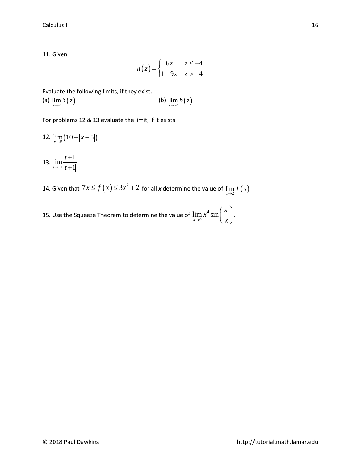11. Given

$$
h(z) = \begin{cases} 6z & z \le -4 \\ 1-9z & z > -4 \end{cases}
$$

Evaluate the following limits, if they exist. (a)  $\lim_{z\to7}h(z)$ (b)  $\lim_{z \to -4} h(z)$ 

For problems 12 & 13 evaluate the limit, if it exists.

12. 
$$
\lim_{x \to 5} (10 + |x - 5|)
$$
  
13. 
$$
\lim_{t \to -1} \frac{t+1}{|t+1|}
$$

14. Given that  $7x \le f(x) \le 3x^2 + 2$  for all *x* determine the value of  $\lim_{x\to 2} f(x)$ .

15. Use the Squeeze Theorem to determine the value of  $\lim_{x\to 0} x^4 \sin x$ *x* π  $\lim_{x \to 0} x^4 \sin\left(\frac{\pi}{x}\right).$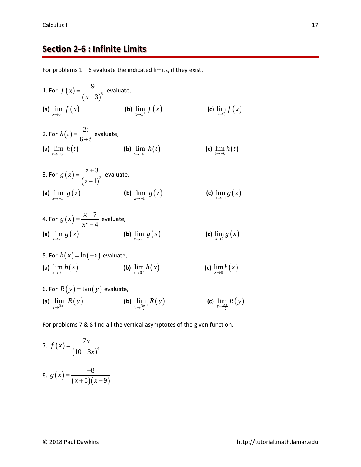#### **Section 2-6 : Infinite Limits**

For problems  $1 - 6$  evaluate the indicated limits, if they exist.

1. For 
$$
f(x) = \frac{9}{(x-3)^5}
$$
 evaluate,  
\n(a)  $\lim_{x \to 3^-} f(x)$  (b)  $\lim_{x \to 3^+} f(x)$  (c)  $\lim_{x \to 3} f(x)$   
\n2. For  $h(t) = \frac{2t}{6+t}$  evaluate,  
\n(a)  $\lim_{t \to -6^-} h(t)$  (b)  $\lim_{t \to -6^+} h(t)$  (c)  $\lim_{t \to -6} h(t)$   
\n3. For  $g(z) = \frac{z+3}{(z+1)^2}$  evaluate,  
\n(a)  $\lim_{z \to -1^-} g(z)$  (b)  $\lim_{z \to -1^+} g(z)$  (c)  $\lim_{z \to -1} g(z)$   
\n4. For  $g(x) = \frac{x+7}{x^2-4}$  evaluate,  
\n(a)  $\lim_{x \to 2^-} g(x)$  (b)  $\lim_{x \to 2^+} g(x)$  (c)  $\lim_{x \to 2} g(x)$   
\n5. For  $h(x) = \ln(-x)$  evaluate,  
\n(a)  $\lim_{x \to 0^-} h(x)$  (b)  $\lim_{x \to 0^+} h(x)$  (c)  $\lim_{x \to 0} h(x)$ 

6. For 
$$
R(y) = \tan(y)
$$
 evaluate,  
\n(a)  $\lim_{y \to \frac{3\pi}{2}} R(y)$  (b)  $\lim_{y \to \frac{3\pi}{2}^+} R(y)$  (c)  $\lim_{y \to \frac{3\pi}{2}} R(y)$ 

For problems 7 & 8 find all the vertical asymptotes of the given function.

7. 
$$
f(x) = \frac{7x}{(10-3x)^4}
$$
  
8.  $g(x) = \frac{-8}{(x+5)(x-9)}$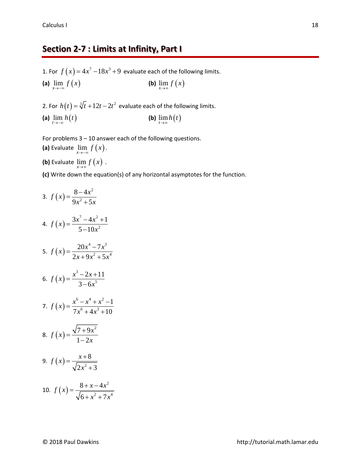#### **Section 2-7 : Limits at Infinity, Part I**

- 1. For  $f ( x ) = 4x^7 18x^3 + 9$  evaluate each of the following limits. **(a)**  $\lim_{x \to -\infty} f(x)$ **(b)**  $\lim_{x \to \infty} f(x)$
- 2. For  $h(t) = \sqrt[3]{t} +12t 2t^2$  evaluate each of the following limits. **(a)**  $\lim_{t \to -\infty} h(t)$ **(b)**  $\lim_{t\to\infty} h(t)$

For problems 3 – 10 answer each of the following questions.

- **(a)** Evaluate  $\lim_{x \to -\infty} f(x)$ .
- **(b)** Evaluate  $\lim_{x\to\infty} f(x)$ .
- **(c)** Write down the equation(s) of any horizontal asymptotes for the function.

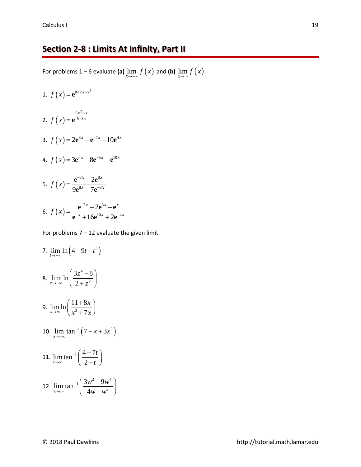#### **Section 2-8 : Limits At Infinity, Part II**

For problems  $1 - 6$  evaluate (a)  $\lim_{x \to -\infty} f(x)$  and (b)  $\lim_{x \to \infty} f(x)$ .

1.  $f(x) = e^{8+2x-x^3}$ 2.  $f(x)$  $6x^2$  $5 + 3$  $x^2 + x$  $f(x) = e^{5+3x}$ +  $=$  e<sup>5+</sup> 3.  $f(x) = 2e^{6x} - e^{-7x} - 10e^{4x}$ 4.  $f(x) = 3e^{-x} - 8e^{-5x} - e^{10x}$ 5.  $f(x)$  $3x - 20^8$  $8x - 7e^{-3}$ 2  $9e^{8x}-7$  $x = 2e^{8x}$  $f(x) = \frac{c}{\log^{8x} 7e^{-3x}}$ −  $=\frac{e^{-3x}-2e^8}{9e^{8x}-7e^{-}}$  $e^{8x}-7e$ 6.  $f(x)$  $7x \quad 2s^3$  $10x + 2e^{-4}$ 2  $16e^{10x} + 2$  $x = 2e^{3x}$  $f(x) = \frac{c}{e^{-x} + 16e^{10x} + 2e^{-4x}}$ −  $=\frac{e^{-7x}-2e^{3x}-e^{x}}{e^{-x}+16e^{10x}+2e^{-x}}$  $e^{-x} + 16e^{10x} + 2e$ 

For problems  $7 - 12$  evaluate the given limit.

7.  $\lim_{t \to -\infty} \ln (4 - 9t - t^3)$ 8. 4  $\lim_{z \to -\infty} \ln \left( \frac{3z^4 - 8}{2 + z^2} \right)$ *z*→-∞ (2 *z*  $\lim_{z \to -\infty} \ln \left( \frac{3z^4 - 8}{2 + z^2} \right)$ 9.  $\lim_{x\to\infty} \ln \left( \frac{11+8}{x^3+7} \right)$  $x \rightarrow \infty$   $\left(x^3 + 7\right)$ *x*  $\lim_{x \to \infty} \ln \left( \frac{11 + 8x}{x^3 + 7x} \right)$ 10.  $\lim_{x \to -\infty} \tan^{-1} (7 - x + 3x^5)$ 11.  $\lim_{h \to 0} \tan^{-1} \left( \frac{4+7}{2} \right)$  $\frac{1}{t\rightarrow\infty}$  (2) *t t* −  $\lim_{t \to \infty} \tan^{-1} \left( \frac{4+7t}{2-t} \right)$ 12.  $\int 3w^2 - 9w^4$  $\lim_{w \to \infty} \tan^{-1} \left( \frac{3w^2 - 9w}{4w^2 - 3w^3} \right)$  $w \rightarrow \infty$   $\begin{pmatrix} 4 \end{pmatrix}$  $w^2 - 9w$  $w - w$ −  $\lim_{x\to\infty} \tan^{-1} \left( \frac{3w^2 - 9w^4}{4w - w^3} \right)$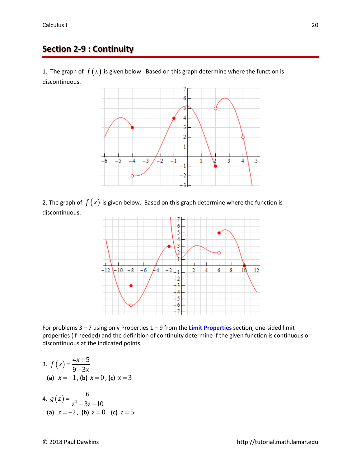#### **Section 2-9 : Continuity**

1. The graph of  $f(x)$  is given below. Based on this graph determine where the function is discontinuous.



2. The graph of  $f(x)$  is given below. Based on this graph determine where the function is discontinuous.



For problems 3 – 7 using only Properties 1 – 9 from the **Limit Properties** section, one-sided limit properties (if needed) and the definition of continuity determine if the given function is continuous or discontinuous at the indicated points.

3. 
$$
f(x) = \frac{4x+5}{9-3x}
$$
  
(a)  $x = -1$ , (b)  $x = 0$ , (c)  $x = 3$ 

4. 
$$
g(z) = \frac{6}{z^2 - 3z - 10}
$$
  
(a)  $z = -2$ , (b)  $z = 0$ , (c)  $z = 5$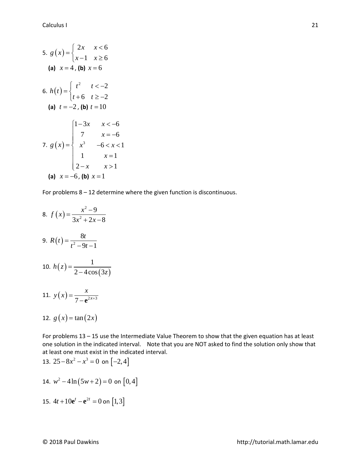5. 
$$
g(x) = \begin{cases} 2x & x < 6 \\ x - 1 & x \ge 6 \end{cases}
$$
  
\n(a)  $x = 4$ , (b)  $x = 6$   
\n6.  $h(t) = \begin{cases} t^2 & t < -2 \\ t + 6 & t \ge -2 \end{cases}$   
\n(a)  $t = -2$ , (b)  $t = 10$   
\n7.  $g(x) = \begin{cases} 1 - 3x & x < -6 \\ 7 & x = -6 \\ x^3 & -6 < x < 1 \\ 1 & x = 1 \\ 2 - x & x > 1 \end{cases}$   
\n(a)  $x = -6$ , (b)  $x = 1$ 

For problems 8 – 12 determine where the given function is discontinuous.

8. 
$$
f(x) = \frac{x^2 - 9}{3x^2 + 2x - 8}
$$
  
\n9.  $R(t) = \frac{8t}{t^2 - 9t - 1}$   
\n10.  $h(z) = \frac{1}{2 - 4\cos(3z)}$   
\n11.  $y(x) = \frac{x}{7 - e^{2x+3}}$   
\n12.  $g(x) = \tan(2x)$ 

For problems 13 – 15 use the Intermediate Value Theorem to show that the given equation has at least one solution in the indicated interval. Note that you are NOT asked to find the solution only show that at least one must exist in the indicated interval.

13. 
$$
25-8x^2-x^3=0
$$
 on  $[-2,4]$ 

14. 
$$
w^2 - 4\ln(5w + 2) = 0
$$
 on [0, 4]

15. 
$$
4t + 10e^t - e^{2t} = 0
$$
 on [1,3]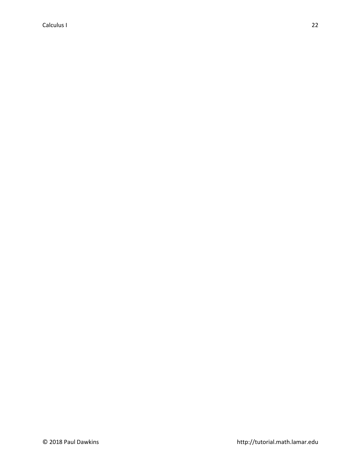Calculus I 22